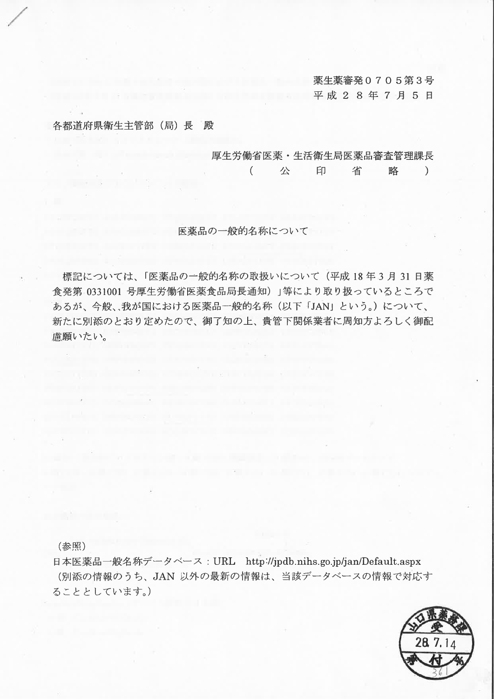薬生薬審発0705第3号 平成 2 8 年 7 月 5 日

各都道府県衛生主管部 (局) 長 殿

厚生労働省医薬·生活衛生局医薬品審査管理課長

 $\left($ 公 印 省 略  $\mathcal{L}$ 

医薬品の一般的名称について

標記については、「医薬品の一般的名称の取扱いについて (平成18年3月31日薬 食発第 0331001 号厚生労働省医薬食品局長通知)」等により取り扱っているところで あるが、今般、我が国における医薬品一般的名称(以下「JAN」という。)について、 新たに別添のとおり定めたので、御了知の上、貴管下関係業者に周知方よろしく御配 慮願いたい。

(参照)

日本医薬品一般名称データベース: URL http://jpdb.nihs.go.jp/jan/Default.aspx (別添の情報のうち、JAN 以外の最新の情報は、当該データベースの情報で対応す ることとしています。)

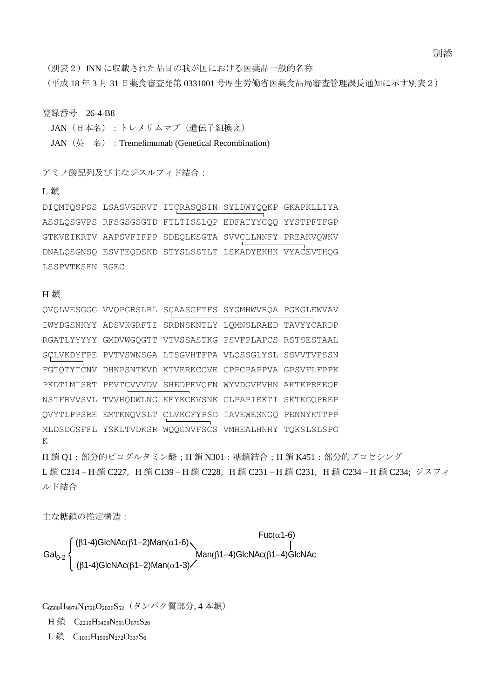別添

(別表2)INN に収載された品目の我が国における医薬品一般的名称

(平成 18 年 3 月 31 日薬食審査発第 0331001 号厚生労働省医薬食品局審査管理課長通知に示す別表2)

### 登録番号 26-4-B8

JAN(日本名):トレメリムマブ(遺伝子組換え)

JAN (英 名): Tremelimumab (Genetical Recombination)

アミノ酸配列及び主なジスルフィド結合:

# L 鎖

DIQMTQSPSS LSASVGDRVT ITCRASQSIN SYLDWYQQKP GKAPKLLIYA ASSLQSGVPS RFSGSGSGTD FTLTISSLQP EDFATYYCQQ YYSTPFTFGP GTKVEIKRTV AAPSVFIFPP SDEQLKSGTA SVVCLLNNFY PREAKVQWKV DNALQSGNSQ ESVTEQDSKD STYSLSSTLT LSKADYEKHK VYACEVTHQG LSSPVTKSFN RGEC

#### H 鎖

|                                                                          | QVQLVESGGG VVQPGRSLRL SÇAASGFTFS SYGMHWVRQA PGKGLEWVAV |  |  |  |  |  |  |  |
|--------------------------------------------------------------------------|--------------------------------------------------------|--|--|--|--|--|--|--|
|                                                                          | IWYDGSNKYY ADSVKGRFTI SRDNSKNTLY LOMNSLRAED TAVYYCARDP |  |  |  |  |  |  |  |
|                                                                          | RGATLYYYYY GMDVWGQGTT VTVSSASTKG PSVFPLAPCS RSTSESTAAL |  |  |  |  |  |  |  |
|                                                                          | GCLVKDYFPE PVTVSWNSGA LTSGVHTFPA VLQSSGLYSL SSVVTVPSSN |  |  |  |  |  |  |  |
|                                                                          | FGTOTYTCNV DHKPSNTKVD KTVERKCCVE CPPCPAPPVA GPSVFLFPPK |  |  |  |  |  |  |  |
|                                                                          | PKDTLMISRT PEVTCVVVDV SHEDPEVQFN WYVDGVEVHN AKTKPREEQF |  |  |  |  |  |  |  |
|                                                                          | NSTFRVVSVL TVVHQDWLNG KEYKCKVSNK GLPAPIEKTI SKTKGQPREP |  |  |  |  |  |  |  |
|                                                                          | QVYTLPPSRE EMTKNQVSLT CLVKGFYPSD IAVEWESNGQ PENNYKTTPP |  |  |  |  |  |  |  |
| K                                                                        | MLDSDGSFFL YSKLTVDKSR WOOGNVFSCS VMHEALHNHY TOKSLSLSPG |  |  |  |  |  |  |  |
| H鎖 Q1:部分的ピログルタミン酸; H鎖 N301:糖鎖結合; H鎖 K451:部分的プロセシング                       |                                                        |  |  |  |  |  |  |  |
| L鎖 C214-H鎖 C227, H鎖 C139-H鎖 C228, H鎖 C231-H鎖 C231, H鎖 C234-H鎖 C234; ジスフィ |                                                        |  |  |  |  |  |  |  |

ルド結合

主な糖鎖の推定構造:

Gal<sub>0-2</sub>  $\left\{\n\begin{array}{c}\n\text{Man}(\beta 1-4)\text{GlcNAc} \\
\text{Man}(\beta 1-4)\text{GlcNAc}\n\end{array}\n\right\}$  $(\beta$ 1-4)GlcNAc $(\beta$ 1-2)Man $(\alpha$ 1-6)  $Fuc(\alpha) -6$ )  $(\beta$ 1-4)GlcNAc $(\beta$ 1-2)Man $(\alpha$ 1-3)

C<sub>6500</sub>H<sub>9974</sub>N<sub>1726</sub>O<sub>2026</sub>S<sub>52</sub> (タンパク質部分, 4 本鎖)

H 鎖 C<sub>2219</sub>H<sub>3409</sub>N<sub>591</sub>O<sub>676</sub>S<sub>20</sub>

L鎖  $C_{1031}H_{1596}N_{272}O_{337}S_6$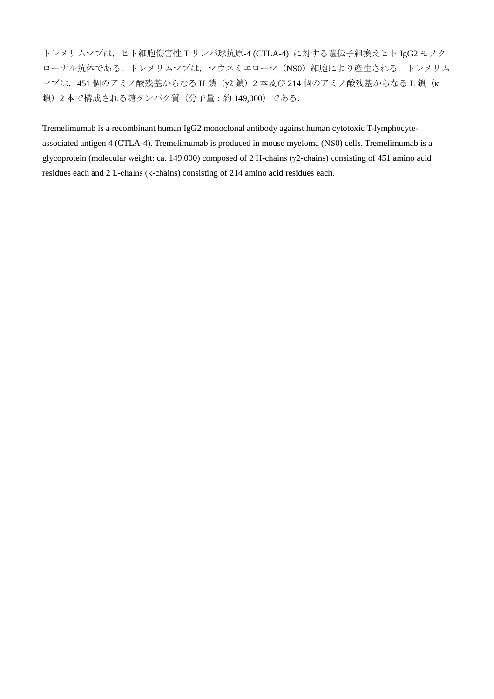トレメリムマブは,ヒト細胞傷害性 T リンパ球抗原-4 (CTLA-4) に対する遺伝子組換えヒト IgG2 モノク ローナル抗体である. トレメリムマブは、マウスミエローマ (NS0) 細胞により産生される. トレメリム マブは, 451 個のアミノ酸残基からなる H 鎖 (γ2 鎖) 2 本及び 214 個のアミノ酸残基からなる L 鎖(κ 鎖)2 本で構成される糖タンパク質(分子量:約 149,000)である.

Tremelimumab is a recombinant human IgG2 monoclonal antibody against human cytotoxic T-lymphocyteassociated antigen 4 (CTLA-4). Tremelimumab is produced in mouse myeloma (NS0) cells. Tremelimumab is a glycoprotein (molecular weight: ca. 149,000) composed of 2 H-chains (γ2-chains) consisting of 451 amino acid residues each and 2 L-chains (κ-chains) consisting of 214 amino acid residues each.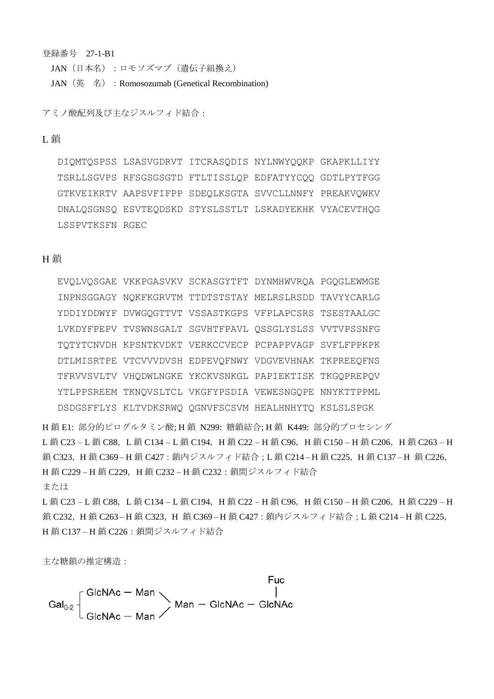登録番号 27-1-B1

JAN (日本名):ロモソズマブ(遺伝子組換え)

JAN (英 名) : Romosozumab (Genetical Recombination)

アミノ酸配列及び主なジスルフィド結合:

#### L 鎖

DIQMTQSPSS LSASVGDRVT ITCRASQDIS NYLNWYQQKP GKAPKLLIYY TSRLLSGVPS RFSGSGSGTD FTLTISSLQP EDFATYYCQQ GDTLPYTFGG GTKVEIKRTV AAPSVFIFPP SDEQLKSGTA SVVCLLNNFY PREAKVQWKV DNALQSGNSQ ESVTEQDSKD STYSLSSTLT LSKADYEKHK VYACEVTHQG LSSPVTKSFN RGEC

#### H 鎖

|  | EVOLVOSGAE VKKPGASVKV SCKASGYTFT DYNMHWVROA PGOGLEWMGE |  |
|--|--------------------------------------------------------|--|
|  | INPNSGGAGY NOKFKGRVTM TTDTSTSTAY MELRSLRSDD TAVYYCARLG |  |
|  | YDDIYDDWYF DVWGQGTTVT VSSASTKGPS VFPLAPCSRS TSESTAALGC |  |
|  | LVKDYFPEPV TVSWNSGALT SGVHTFPAVL QSSGLYSLSS VVTVPSSNFG |  |
|  | TQTYTCNVDH KPSNTKVDKT VERKCCVECP PCPAPPVAGP SVFLFPPKPK |  |
|  | DTLMISRTPE VTCVVVDVSH EDPEVQFNWY VDGVEVHNAK TKPREEQFNS |  |
|  | TFRVVSVLTV VHQDWLNGKE YKCKVSNKGL PAPIEKTISK TKGQPREPQV |  |
|  | YTLPPSREEM TKNOVSLTCL VKGFYPSDIA VEWESNGOPE NNYKTTPPML |  |
|  | DSDGSFFLYS KLTVDKSRWQ QGNVFSCSVM HEALHNHYTQ KSLSLSPGK  |  |

H 鎖 E1: 部分的ピログルタミン酸; H 鎖 N299: 糖鎖結合; H 鎖 K449: 部分的プロセシング L 鎖 C23 – L 鎖 C88, L 鎖 C134 – L 鎖 C194, H 鎖 C22 – H 鎖 C96, H 鎖 C150 – H 鎖 C206, H 鎖 C263 – H 鎖 C323, H 鎖 C369-H 鎖 C427 : 鎖内ジスルフィド結合;L 鎖 C214-H 鎖 C225, H 鎖 C137-H 鎖 C226, H鎖 C229-H鎖 C229, H鎖 C232-H鎖 C232:鎖間ジスルフィド結合 または

L 鎖 C23 – L 鎖 C88, L 鎖 C134 – L 鎖 C194, H 鎖 C22 – H 鎖 C96, H 鎖 C150 – H 鎖 C206, H 鎖 C229 – H 鎖 C232, H鎖 C263-H鎖 C323, H鎖 C369-H鎖 C427:鎖内ジスルフィド結合;L鎖 C214-H鎖 C225, H鎖 C137-H鎖 C226:鎖間ジスルフィド結合

主な糖鎖の推定構造:

Fuc Gal<sub>0-2</sub>  $\begin{bmatrix} \text{GlcNAc} - \text{Man} \\ \text{GlcNAc} - \text{Man} \end{bmatrix}$  Man - GlcNAc - GlcNAc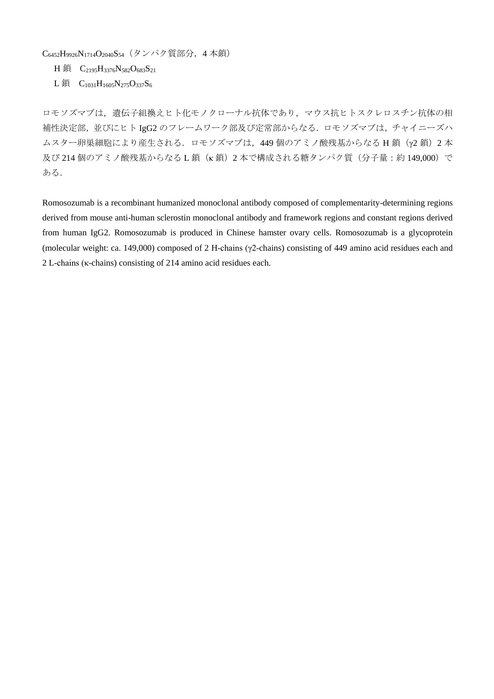C<sub>6452</sub>H<sub>9926</sub>N<sub>1714</sub>O<sub>2040</sub>S<sub>54</sub> (タンパク質部分, 4本鎖)

H 鎖 C<sub>2195</sub>H<sub>3376</sub>N<sub>582</sub>O<sub>683</sub>S<sub>21</sub>

L鎖  $C_{1031}H_{1605}N_{275}O_{337}S_6$ 

ロモソズマブは,遺伝子組換えヒト化モノクローナル抗体であり,マウス抗ヒトスクレロスチン抗体の相 補性決定部,並びにヒト IgG2 のフレームワーク部及び定常部からなる.ロモソズマブは,チャイニーズハ ムスター卵巣細胞により産生される. ロモソズマブは, 449 個のアミノ酸残基からなる H 鎖 (γ2 鎖) 2 本 及び 214 個のアミノ酸残基からなるL鎖(κ鎖)2本で構成される糖タンパク質(分子量:約 149,000)で ある.

Romosozumab is a recombinant humanized monoclonal antibody composed of complementarity-determining regions derived from mouse anti-human sclerostin monoclonal antibody and framework regions and constant regions derived from human IgG2. Romosozumab is produced in Chinese hamster ovary cells. Romosozumab is a glycoprotein (molecular weight: ca. 149,000) composed of 2 H-chains (γ2-chains) consisting of 449 amino acid residues each and 2 L-chains (κ-chains) consisting of 214 amino acid residues each.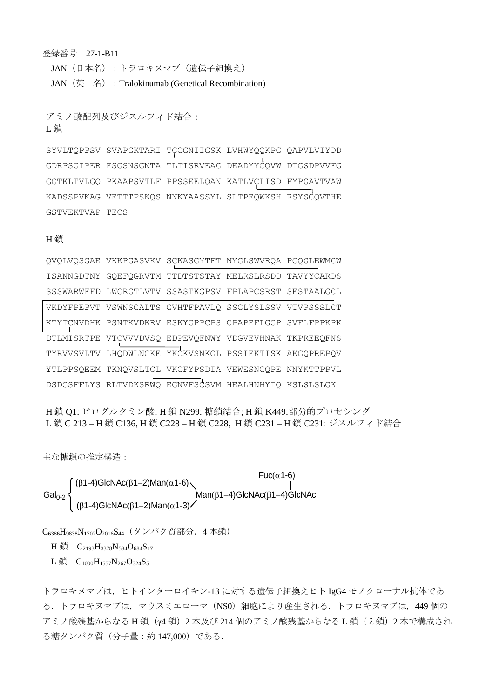登録番号 27-1-B11 JAN(日本名):トラロキヌマブ(遺伝子組換え) JAN (英 名) : Tralokinumab (Genetical Recombination)

アミノ酸配列及びジスルフィド結合: L 銷

SYVLTQPPSV SVAPGKTARI TCGGNIIGSK LVHWYQQKPG QAPVLVIYDD GDRPSGIPER FSGSNSGNTA TLTISRVEAG DEADYYCQVW DTGSDPVVFG GGTKLTVLGQ PKAAPSVTLF PPSSEELQAN KATLVCLISD FYPGAVTVAW KADSSPVKAG VETTTPSKQS NNKYAASSYL SLTPEQWKSH RSYSCQVTHE GSTVEKTVAP TECS

#### H 銷

| OVOLVOSGAE VKKPGASVKV SCKASGYTFT NYGLSWVROA PGOGLEWMGW |  |  |
|--------------------------------------------------------|--|--|
| ISANNGDTNY GQEFQGRVTM TTDTSTSTAY MELRSLRSDD TAVYYCARDS |  |  |
| SSSWARWFFD LWGRGTLVTV SSASTKGPSV FPLAPCSRST SESTAALGCL |  |  |
| VKDYFPEPVT VSWNSGALTS GVHTFPAVLO SSGLYSLSSV VTVPSSSLGT |  |  |
| KTYTCNVDHK PSNTKVDKRV ESKYGPPCPS CPAPEFLGGP SVFLFPPKPK |  |  |
| DTLMISRTPE VTCVVVDVSQ EDPEVQFNWY VDGVEVHNAK TKPREEQFNS |  |  |
| TYRVVSVLTV LHQDWLNGKE YKCKVSNKGL PSSIEKTISK AKGQPREPQV |  |  |
| YTLPPSQEEM TKNQVSLTCL VKGFYPSDIA VEWESNGQPE NNYKTTPPVL |  |  |
| DSDGSFFLYS RLTVDKSRWQ EGNVFSCSVM HEALHNHYTQ KSLSLSLGK  |  |  |

H 鎖 Q1: ピログルタミン酸; H 鎖 N299: 糖鎖結合; H 鎖 K449:部分的プロセシング L 鎖 C 213 – H 鎖 C136, H 鎖 C228 – H 鎖 C228, H 鎖 C231 – H 鎖 C231: ジスルフィド結合

主な糖鎖の推定構造:

Gal<sub>0-2</sub>  $\left\{\n\begin{array}{c}\n\text{Man}(\beta 1-4)\text{GlcNAc} \\
\text{Man}(\beta 1-4)\text{GlcNAc}\n\end{array}\n\right\}$  $(\beta$ 1-4)GlcNAc $(\beta$ 1-2)Man $(\alpha$ 1-6)  $Fuc(\alpha)$ 1-6)  $(\beta$ 1-4)GlcNAc $(\beta$ 1-2)Man $(\alpha$ 1-3)

 $C_{6386}H_{9838}N_{1702}O_{2016}S_{44}$  (タンパク質部分, 4本鎖)

H 鎖  $C_{2193}H_{3378}N_{584}O_{684}S_{17}$ 

L鎖  $C_{1000}H_{1557}N_{267}O_{324}S_5$ 

トラロキヌマブは、ヒトインターロイキン-13 に対する遺伝子組換えヒト IgG4 モノクローナル抗体であ る.トラロキヌマブは,マウスミエローマ(NS0)細胞により産生される.トラロキヌマブは,449 個の アミノ酸残基からなる H 鎖(γ4 鎖)2 本及び 214 個のアミノ酸残基からなる L 鎖(λ鎖)2 本で構成され る糖タンパク質(分子量:約 147,000)である.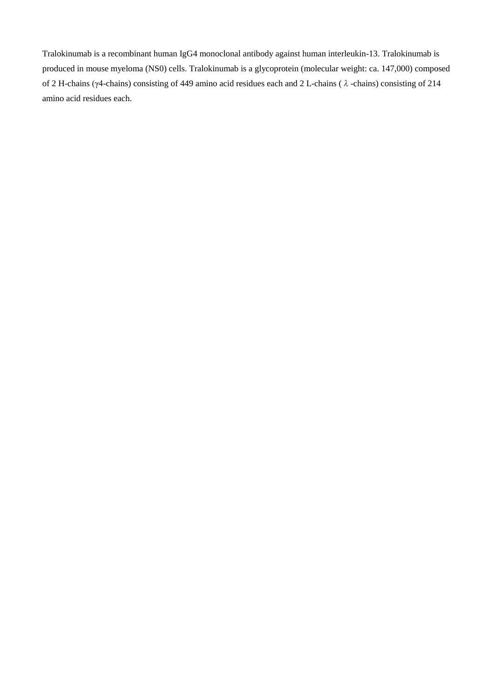Tralokinumab is a recombinant human IgG4 monoclonal antibody against human interleukin-13. Tralokinumab is produced in mouse myeloma (NS0) cells. Tralokinumab is a glycoprotein (molecular weight: ca. 147,000) composed of 2 H-chains (γ4-chains) consisting of 449 amino acid residues each and 2 L-chains (λ-chains) consisting of 214 amino acid residues each.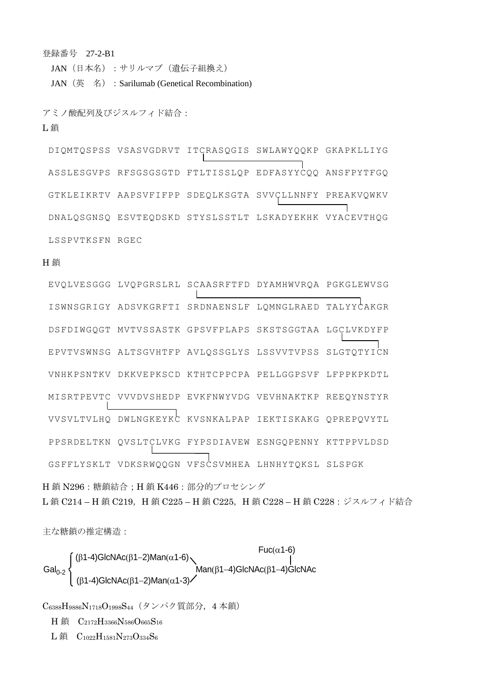登録番号 27-2-B1

JAN (日本名): サリルマブ (遺伝子組換え)

JAN (英 名) : Sarilumab (Genetical Recombination)

#### アミノ酸配列及びジスルフィド結合:

L 鎖

DIQMTQSPSS VSASVGDRVT ITCRASQGIS SWLAWYQQKP GKAPKLLIYG ASSLESGVPS RFSGSGSGTD FTLTISSLQP EDFASYYCQQ ANSFPYTFGQ GTKLEIKRTV AAPSVFIFPP SDEQLKSGTA SVVCLLNNFY PREAKVQWKV DNALQSGNSQ ESVTEQDSKD STYSLSSTLT LSKADYEKHK VYACEVTHQG LSSPVTKSFN RGEC

#### H 鎖

EVQLVESGGG LVQPGRSLRL SCAASRFTFD DYAMHWVRQA PGKGLEWVSG ISWNSGRIGY ADSVKGRFTI SRDNAENSLF LQMNGLRAED TALYYCAKGR DSFDIWGQGT MVTVSSASTK GPSVFPLAPS SKSTSGGTAA LGCLVKDYFP EPVTVSWNSG ALTSGVHTFP AVLQSSGLYS LSSVVTVPSS SLGTQTYICN VNHKPSNTKV DKKVEPKSCD KTHTCPPCPA PELLGGPSVF LFPPKPKDTL MISRTPEVTC VVVDVSHEDP EVKFNWYVDG VEVHNAKTKP REEQYNSTYR VVSVLTVLHQ DWLNGKEYKC KVSNKALPAP IEKTISKAKG QPREPQVYTL PPSRDELTKN QVSLTCLVKG FYPSDIAVEW ESNGQPENNY KTTPPVLDSD GSFFLYSKLT VDKSRWQQGN VFSCSVMHEA LHNHYTQKSL SLSPGK

H 鎖 N296:糖鎖結合;H 鎖 K446:部分的プロセシング L鎖 C214-H鎖 C219, H鎖 C225-H鎖 C225, H鎖 C228-H鎖 C228:ジスルフィド結合

主な糖鎖の推定構造:

$$
Gal0-2
$$
   
\n
$$
Gal0-2
$$
   
\n
$$
(β1-4)GlcnAc(β1-2)Man(α1-6)
$$
\n
$$
Man(β1-4)GlcnAc(β1-4)GlcnAc(β1-4)GlcnAc(β1-4)GlcnAc(β1-4)GlcnAc(β1-4)GlcnAc(β1-2)Man(α1-3)
$$

C6388H9886N1718O1998S44(タンパク質部分,4 本鎖)

H 鎖 C2172H3366N586O665S<sup>16</sup>

L鎖 C<sub>1022</sub>H<sub>1581</sub>N<sub>273</sub>O<sub>334</sub>S<sub>6</sub>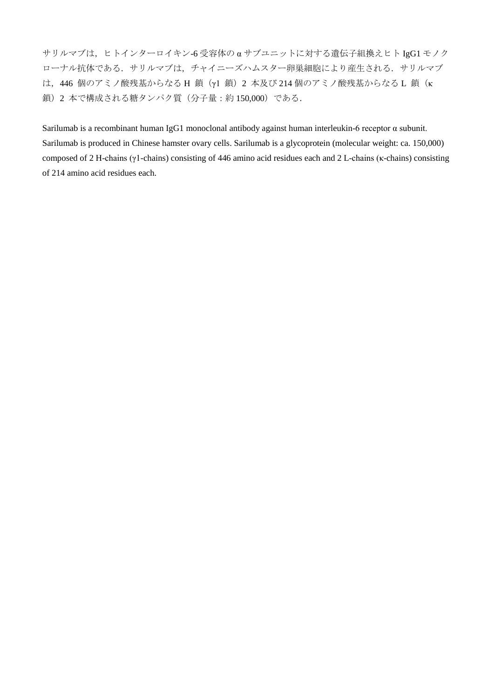サリルマブは,ヒトインターロイキン-6 受容体の α サブユニットに対する遺伝子組換えヒト IgG1 モノク ローナル抗体である. サリルマブは、チャイニーズハムスター卵巣細胞により産生される. サリルマブ は, 446 個のアミノ酸残基からなる H 鎖 (γ1 鎖) 2 本及び 214 個のアミノ酸残基からなる L 鎖 (κ 鎖)2 本で構成される糖タンパク質(分子量:約 150,000)である.

Sarilumab is a recombinant human IgG1 monoclonal antibody against human interleukin-6 receptor α subunit. Sarilumab is produced in Chinese hamster ovary cells. Sarilumab is a glycoprotein (molecular weight: ca. 150,000) composed of 2 H-chains (γ1-chains) consisting of 446 amino acid residues each and 2 L-chains (κ-chains) consisting of 214 amino acid residues each.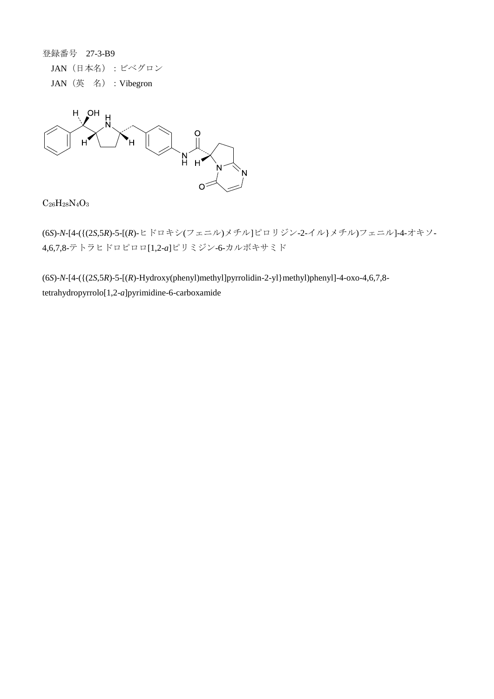登録番号 27-3-B9 JAN(日本名):ビベグロン JAN (英名): Vibegron



 $C_{26}H_{28}N_{4}O_{3}$ 

(6*S*)-*N*-[4-({(2*S*,5*R*)-5-[(*R*)-ヒドロキシ(フェニル)メチル]ピロリジン-2-イル}メチル)フェニル]-4-オキソ-4,6,7,8-テトラヒドロピロロ[1,2-*a*]ピリミジン-6-カルボキサミド

(6*S*)-*N*-[4-({(2*S*,5*R*)-5-[(*R*)-Hydroxy(phenyl)methyl]pyrrolidin-2-yl}methyl)phenyl]-4-oxo-4,6,7,8 tetrahydropyrrolo[1,2-*a*]pyrimidine-6-carboxamide